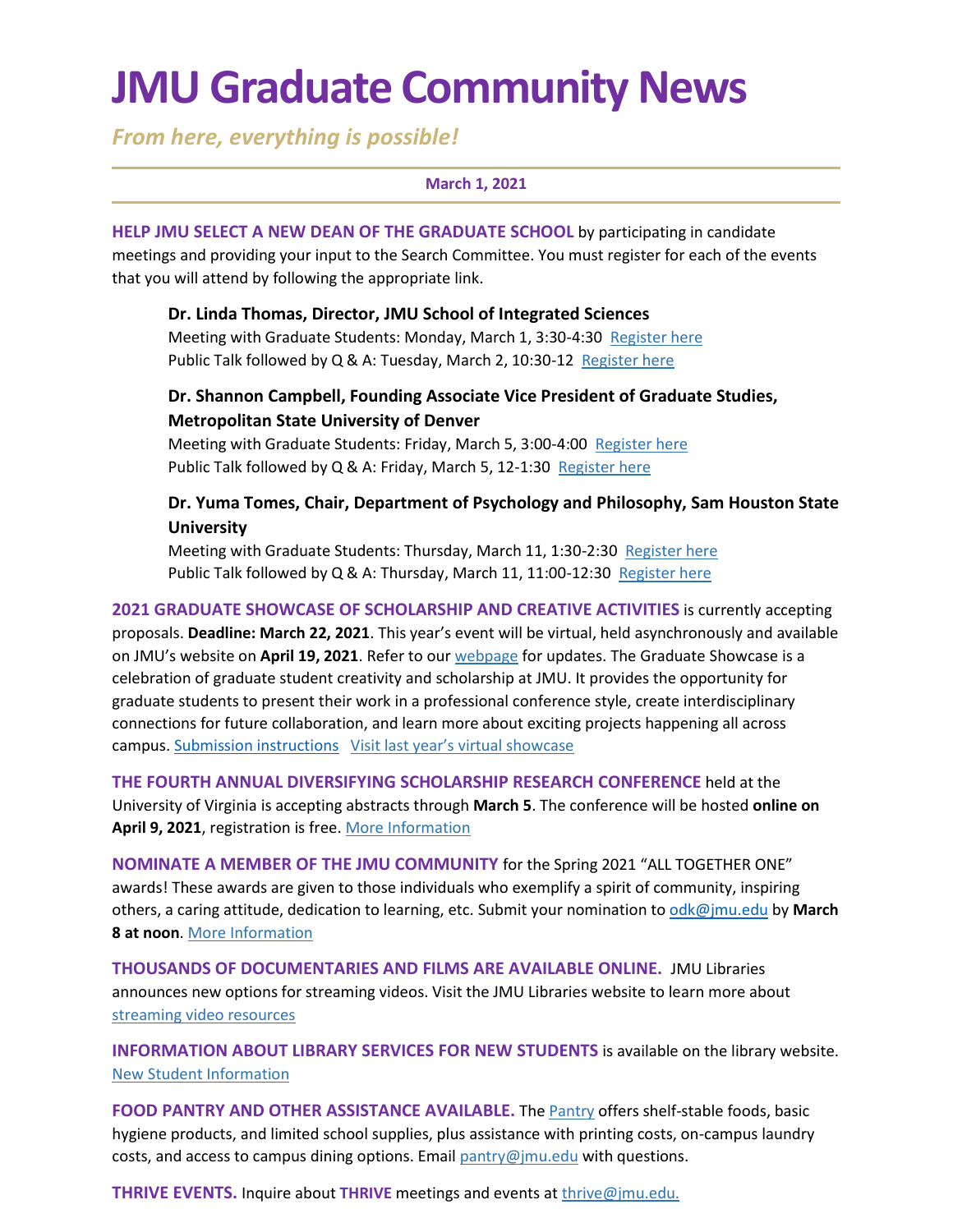# **JMU Graduate Community News**

*From here, everything is possible!*

#### **March 1, 2021**

**HELP JMU SELECT A NEW DEAN OF THE GRADUATE SCHOOL** by participating in candidate meetings and providing your input to the Search Committee. You must register for each of the events that you will attend by following the appropriate link.

**Dr. Linda Thomas, Director, JMU School of Integrated Sciences** Meeting with Graduate Students: Monday, March 1, 3:30-4:30 [Register here](https://jmu-edu.zoom.us/meeting/register/tZIvd-uhpz0oGdEHtkUu0viGCnV282LaBa-E) Public Talk followed by Q & A: Tuesday, March 2, 10:30-12 [Register here](https://jmu-edu.zoom.us/meeting/register/tZcqc-qtrT8uHtyTFZAqQpsBhr69Z3xilyfS)

### **Dr. Shannon Campbell, Founding Associate Vice President of Graduate Studies, Metropolitan State University of Denver**

Meeting with Graduate Students: Friday, March 5, 3:00-4:00 [Register here](https://jmu-edu.zoom.us/meeting/register/tZ0sf-uvqTwsHNGY-xxFGpXDpD_sKta1zk1e) Public Talk followed by Q & A: Friday, March 5, 12-1:30 [Register here](https://jmu-edu.zoom.us/meeting/register/tZMpd-uupjgvGd3Dm_ApqTTGy3x9db64AemS)

### **Dr. Yuma Tomes, Chair, Department of Psychology and Philosophy, Sam Houston State University**

Meeting with Graduate Students: Thursday, March 11, 1:30-2:30 [Register here](https://jmu-edu.zoom.us/meeting/register/tZMvfu2sqDIiGt2lcSX5ZPkNAEWch9pD0MgN) Public Talk followed by Q & A: Thursday, March 11, 11:00-12:30 [Register here](https://jmu-edu.zoom.us/meeting/register/tZAucuqsrz4vHdALV8f2axxJUMKbHpBTpuWF)

**2021 GRADUATE SHOWCASE OF SCHOLARSHIP AND CREATIVE ACTIVITIES** is currently accepting proposals. **Deadline: March 22, 2021**. This year's event will be virtual, held asynchronously and available on JMU's website on **April 19, 2021**. Refer to our [webpage](https://www.jmu.edu/grad/GraduateShowcase/proposals-wanted.shtml) for updates. The Graduate Showcase is a celebration of graduate student creativity and scholarship at JMU. It provides the opportunity for graduate students to present their work in a professional conference style, create interdisciplinary connections for future collaboration, and learn more about exciting projects happening all across campus. [Submission instructions](https://www.jmu.edu/grad/GraduateShowcase/proposals-wanted.shtml) [Visit last year's virtual showcase](https://www.jmu.edu/grad/GraduateShowcase/2020/index.shtml)

**THE FOURTH ANNUAL DIVERSIFYING SCHOLARSHIP RESEARCH CONFERENCE** held at the University of Virginia is accepting abstracts through **March 5**. The conference will be hosted **online on April 9, 2021**, registration is free. [More Information](https://uva.theopenscholar.com/diversifyingscholarship)

**NOMINATE A MEMBER OF THE JMU COMMUNITY** for the Spring 2021 "ALL TOGETHER ONE" awards! These awards are given to those individuals who exemplify a spirit of community, inspiring others, a caring attitude, dedication to learning, etc. Submit your nomination to [odk@jmu.edu](mailto:odk@jmu.edu) by **March 8 at noon**[. More Information](https://www.jmu.edu/alltogetherone/)

**THOUSANDS OF DOCUMENTARIES AND FILMS ARE AVAILABLE ONLINE.** JMU Libraries announces new options for streaming videos. Visit the JMU Libraries website to learn more about [streaming video resources](https://guides.lib.jmu.edu/az.php?t=24588&utm_source=staff-monthly&utm_medium=email&utm_campaign=2021_01_06&utm_content=text_additional-streaming-video-resources)

**INFORMATION ABOUT LIBRARY SERVICES FOR NEW STUDENTS** is available on the library website. [New Student Information](https://www.lib.jmu.edu/important-info-for-new-graduate-students/)

**FOOD PANTRY AND OTHER ASSISTANCE AVAILABLE.** The [Pantry](https://info.jmu.edu/ocl/pop-up-pantry/) offers shelf-stable foods, basic hygiene products, and limited school supplies, plus assistance with printing costs, on-campus laundry costs, and access to campus dining options. Email  $\text{pantry@imu.edu}$  with questions.

**THRIVE EVENTS.** Inquire about **THRIVE** meetings and events at [thrive@jmu.edu.](mailto:thrive@jmu.edu)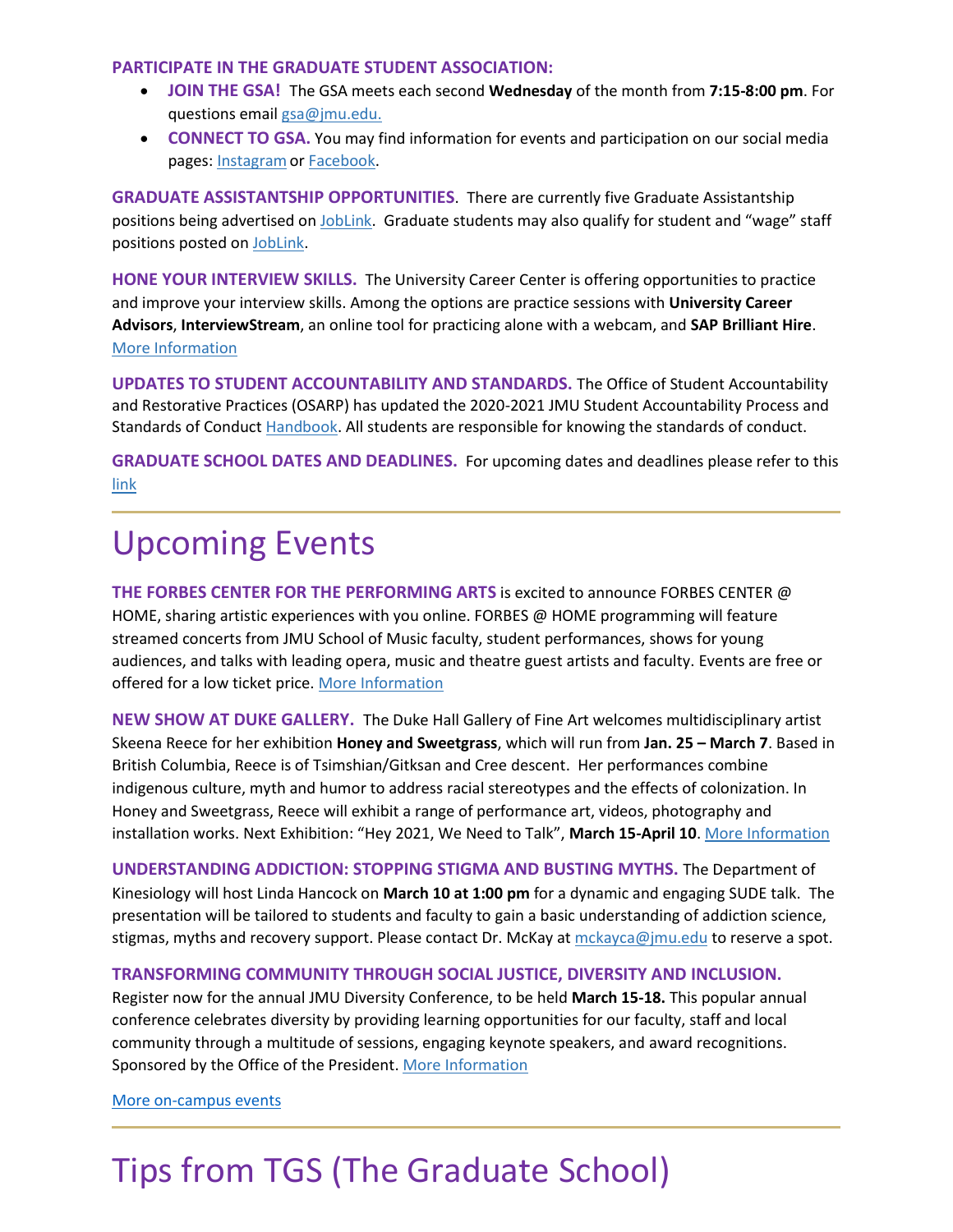#### **PARTICIPATE IN THE GRADUATE STUDENT ASSOCIATION:**

- **JOIN THE GSA!** The GSA meets each second **Wednesday** of the month from **7:15-8:00 pm**. For questions email [gsa@jmu.edu.](mailto:gsa@jmu.edu)
- **CONNECT TO GSA.** You may find information for events and participation on our social media pages: Instagram or [Facebook.](https://www.facebook.com/JMUGSA/)

**GRADUATE ASSISTANTSHIP OPPORTUNITIES**. There are currently five Graduate Assistantship positions being advertised on [JobLink.](https://joblink.jmu.edu/) Graduate students may also qualify for student and "wage" staff positions posted on [JobLink.](https://joblink.jmu.edu/)

**HONE YOUR INTERVIEW SKILLS.** The University Career Center is offering opportunities to practice and improve your interview skills. Among the options are practice sessions with **University Career Advisors**, **InterviewStream**, an online tool for practicing alone with a webcam, and **SAP Brilliant Hire**. [More Information](https://www.jmu.edu/career/students/jobintern/interview/practice.shtml)

**UPDATES TO STUDENT ACCOUNTABILITY AND STANDARDS.** The Office of Student Accountability and Restorative Practices (OSARP) has updated the 2020-2021 JMU Student Accountability Process and Standards of Conduc[t Handbook.](http://www.jmu.edu/handbook) All students are responsible for knowing the standards of conduct.

**GRADUATE SCHOOL DATES AND DEADLINES.** For upcoming dates and deadlines please refer to this [link](https://www.jmu.edu/registrar/academic-calendar.shtml)

## Upcoming Events

**THE FORBES CENTER FOR THE PERFORMING ARTS** is excited to announce FORBES CENTER @ HOME, sharing artistic experiences with you online. FORBES @ HOME programming will feature streamed concerts from JMU School of Music faculty, student performances, shows for young audiences, and talks with leading opera, music and theatre guest artists and faculty. Events are free or offered for a low ticket price[. More Information](https://jmuforbescenter.com/index.shtml)

**NEW SHOW AT DUKE GALLERY.** The Duke Hall Gallery of Fine Art welcomes multidisciplinary artist Skeena Reece for her exhibition **Honey and Sweetgrass**, which will run from **Jan. 25 – March 7**. Based in British Columbia, Reece is of Tsimshian/Gitksan and Cree descent. Her performances combine indigenous culture, myth and humor to address racial stereotypes and the effects of colonization. In Honey and Sweetgrass, Reece will exhibit a range of performance art, videos, photography and installation works. Next Exhibition: "Hey 2021, We Need to Talk", **March 15-April 10**. [More Information](https://www.jmu.edu/dukehallgallery/)

**UNDERSTANDING ADDICTION: STOPPING STIGMA AND BUSTING MYTHS.** The Department of Kinesiology will host Linda Hancock on **March 10 at 1:00 pm** for a dynamic and engaging SUDE talk. The presentation will be tailored to students and faculty to gain a basic understanding of addiction science, stigmas, myths and recovery support. Please contact Dr. McKay at [mckayca@jmu.edu](mailto:mckayca@jmu.edu) to reserve a spot.

#### **TRANSFORMING COMMUNITY THROUGH SOCIAL JUSTICE, DIVERSITY AND INCLUSION.**

Register now for the annual JMU Diversity Conference, to be held **March 15-18.** This popular annual conference celebrates diversity by providing learning opportunities for our faculty, staff and local community through a multitude of sessions, engaging keynote speakers, and award recognitions. Sponsored by the Office of the President. [More Information](https://www.jmu.edu/diversity/programs-and-events/diversity-conference-index.shtml)

[More on-campus events](https://ems.jmu.edu/MasterCalendar/MasterCalendar.aspx?_ga=2.261279492.802742690.1601384782-920476218.1518451077)

# Tips from TGS (The Graduate School)